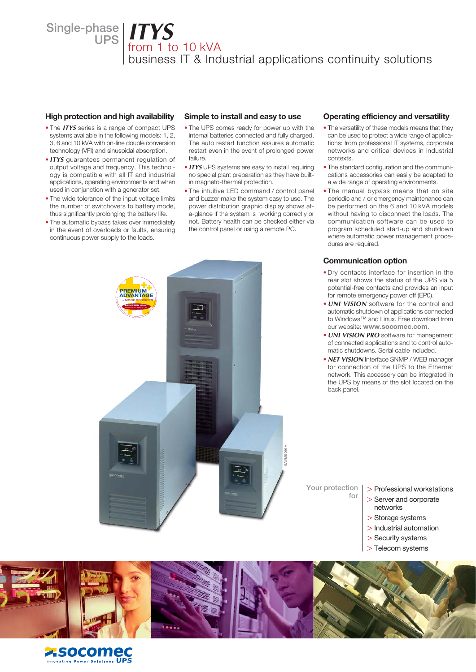**Single-phase UPS** *ITYS*

# from 1 to 10 kVA

business IT & Industrial applications continuity solutions

#### **High protection and high availability**

- The *ITYS* series is a range of compact UPS systems available in the following models: 1, 2, 3, 6 and 10 kVA with on-line double conversion technology (VFI) and sinusoidal absorption.
- *ITYS* guarantees permanent regulation of output voltage and frequency. This technology is compatible with all IT and industrial applications, operating environments and when used in conjunction with a generator set.
- The wide tolerance of the input voltage limits the number of switchovers to battery mode, thus significantly prolonging the battery life.
- The automatic bypass takes over immediately in the event of overloads or faults, ensuring continuous power supply to the loads.

#### **Simple to install and easy to use**

- The UPS comes ready for power up with the internal batteries connected and fully charged. The auto restart function assures automatic restart even in the event of prolonged power failure.
- *ITYS* UPS systems are easy to install requiring no special plant preparation as they have builtin magneto-thermal protection.
- The intuitive LED command / control panel and buzzer make the system easy to use. The power distribution graphic display shows ata-glance if the system is working correctly or not. Battery health can be checked either via the control panel or using a remote PC.

### **Operating efficiency and versatility**

- The versatility of these models means that they can be used to protect a wide range of applications: from professional IT systems, corporate networks and critical devices in industrial contexts.
- The standard configuration and the communications accessories can easily be adapted to a wide range of operating environments.
- The manual bypass means that on site periodic and / or emergency maintenance can be performed on the 6 and 10 kVA models without having to disconnect the loads. The communication software can be used to program scheduled start-up and shutdown where automatic power management procedures are required.

### **Communication option**

- Dry contacts interface for insertion in the rear slot shows the status of the UPS via 5 potential-free contacts and provides an input for remote emergency power off (EP0).
- *UNI VISION* software for the control and automatic shutdown of applications connected to Windows™ and Linux. Free download from our website: **www.socomec.com**.
- *UNI VISION PRO* software for management of connected applications and to control automatic shutdowns. Serial cable included.
- *NET VISION* Interface SNMP / WEB manager for connection of the UPS to the Ethernet network. This accessory can be integrated in the UPS by means of the slot located on the back panel.



#### > Professional workstations

- > Server and corporate
- networks
- > Storage systems

**Your protection** 

**for**

- > Industrial automation
- > Security systems
- > Telecom systems